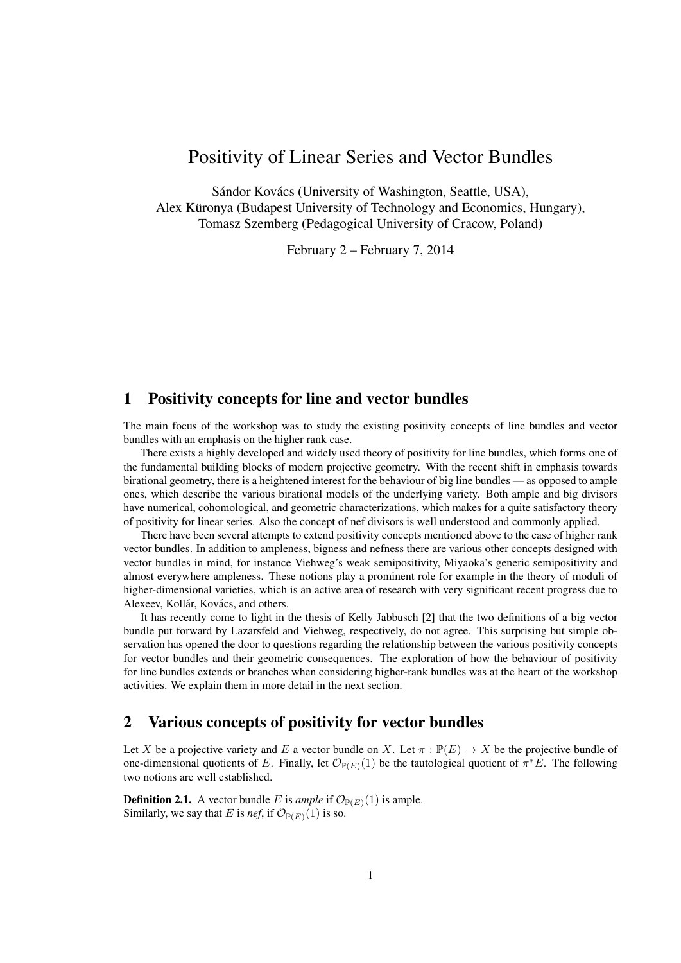# Positivity of Linear Series and Vector Bundles

Sándor Kovács (University of Washington, Seattle, USA), Alex Küronya (Budapest University of Technology and Economics, Hungary), Tomasz Szemberg (Pedagogical University of Cracow, Poland)

February 2 – February 7, 2014

# 1 Positivity concepts for line and vector bundles

The main focus of the workshop was to study the existing positivity concepts of line bundles and vector bundles with an emphasis on the higher rank case.

There exists a highly developed and widely used theory of positivity for line bundles, which forms one of the fundamental building blocks of modern projective geometry. With the recent shift in emphasis towards birational geometry, there is a heightened interest for the behaviour of big line bundles — as opposed to ample ones, which describe the various birational models of the underlying variety. Both ample and big divisors have numerical, cohomological, and geometric characterizations, which makes for a quite satisfactory theory of positivity for linear series. Also the concept of nef divisors is well understood and commonly applied.

There have been several attempts to extend positivity concepts mentioned above to the case of higher rank vector bundles. In addition to ampleness, bigness and nefness there are various other concepts designed with vector bundles in mind, for instance Viehweg's weak semipositivity, Miyaoka's generic semipositivity and almost everywhere ampleness. These notions play a prominent role for example in the theory of moduli of higher-dimensional varieties, which is an active area of research with very significant recent progress due to Alexeev, Kollár, Kovács, and others.

It has recently come to light in the thesis of Kelly Jabbusch [2] that the two definitions of a big vector bundle put forward by Lazarsfeld and Viehweg, respectively, do not agree. This surprising but simple observation has opened the door to questions regarding the relationship between the various positivity concepts for vector bundles and their geometric consequences. The exploration of how the behaviour of positivity for line bundles extends or branches when considering higher-rank bundles was at the heart of the workshop activities. We explain them in more detail in the next section.

# 2 Various concepts of positivity for vector bundles

Let X be a projective variety and E a vector bundle on X. Let  $\pi : \mathbb{P}(E) \to X$  be the projective bundle of one-dimensional quotients of E. Finally, let  $\mathcal{O}_{\mathbb{P}(E)}(1)$  be the tautological quotient of  $\pi^*E$ . The following two notions are well established.

**Definition 2.1.** A vector bundle E is *ample* if  $\mathcal{O}_{\mathbb{P}(E)}(1)$  is ample. Similarly, we say that E is *nef*, if  $\mathcal{O}_{\mathbb{P}(E)}(1)$  is so.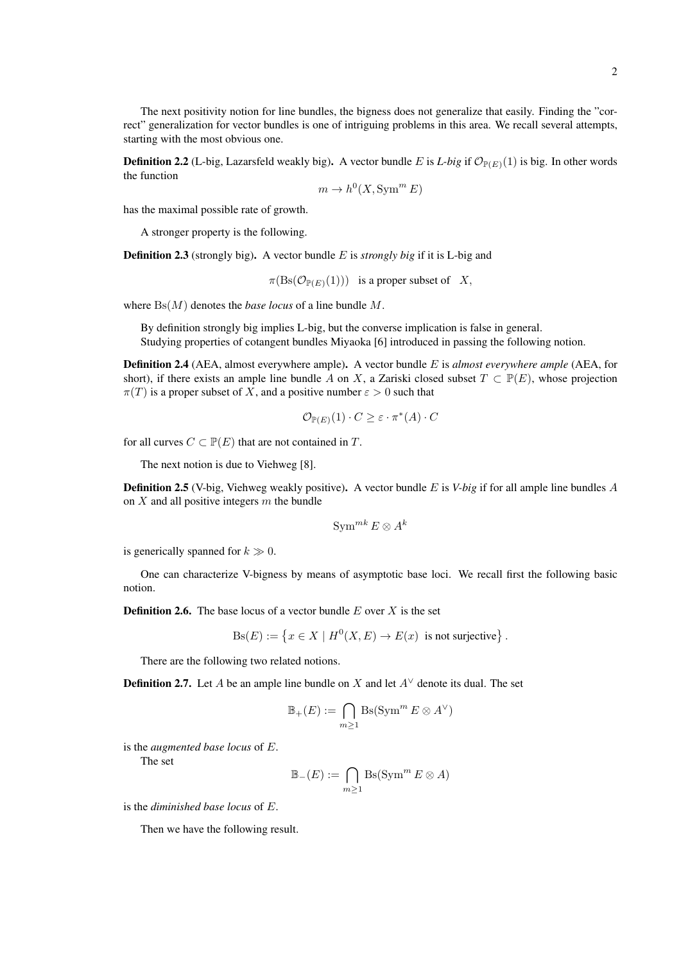The next positivity notion for line bundles, the bigness does not generalize that easily. Finding the "correct" generalization for vector bundles is one of intriguing problems in this area. We recall several attempts, starting with the most obvious one.

**Definition 2.2** (L-big, Lazarsfeld weakly big). A vector bundle E is L-big if  $\mathcal{O}_{\mathbb{P}(E)}(1)$  is big. In other words the function

$$
m \to h^0(X, \text{Sym}^m E)
$$

has the maximal possible rate of growth.

A stronger property is the following.

Definition 2.3 (strongly big). A vector bundle E is *strongly big* if it is L-big and

 $\pi(\text{Bs}(\mathcal{O}_{\mathbb{P}(E)}(1)))$  is a proper subset of X,

where Bs(M) denotes the *base locus* of a line bundle M.

By definition strongly big implies L-big, but the converse implication is false in general. Studying properties of cotangent bundles Miyaoka [6] introduced in passing the following notion.

Definition 2.4 (AEA, almost everywhere ample). A vector bundle E is *almost everywhere ample* (AEA, for short), if there exists an ample line bundle A on X, a Zariski closed subset  $T \subset \mathbb{P}(E)$ , whose projection  $\pi(T)$  is a proper subset of X, and a positive number  $\varepsilon > 0$  such that

$$
\mathcal{O}_{\mathbb{P}(E)}(1) \cdot C \ge \varepsilon \cdot \pi^*(A) \cdot C
$$

for all curves  $C \subset \mathbb{P}(E)$  that are not contained in T.

The next notion is due to Viehweg [8].

Definition 2.5 (V-big, Viehweg weakly positive). A vector bundle E is *V-big* if for all ample line bundles A on  $X$  and all positive integers  $m$  the bundle

$$
\operatorname{Sym}^{mk} E \otimes A^k
$$

is generically spanned for  $k \gg 0$ .

One can characterize V-bigness by means of asymptotic base loci. We recall first the following basic notion.

**Definition 2.6.** The base locus of a vector bundle  $E$  over  $X$  is the set

$$
Bs(E) := \left\{ x \in X \mid H^0(X, E) \to E(x) \text{ is not surjective} \right\}.
$$

There are the following two related notions.

**Definition 2.7.** Let A be an ample line bundle on X and let  $A^{\vee}$  denote its dual. The set

$$
\mathbb{B}_+(E) := \bigcap_{m \ge 1} \operatorname{Bs}(\operatorname{Sym}^m E \otimes A^{\vee})
$$

is the *augmented base locus* of E.

The set

$$
\mathbb{B}_-(E) := \bigcap_{m \ge 1} \text{Bs}(\text{Sym}^m E \otimes A)
$$

is the *diminished base locus* of E.

Then we have the following result.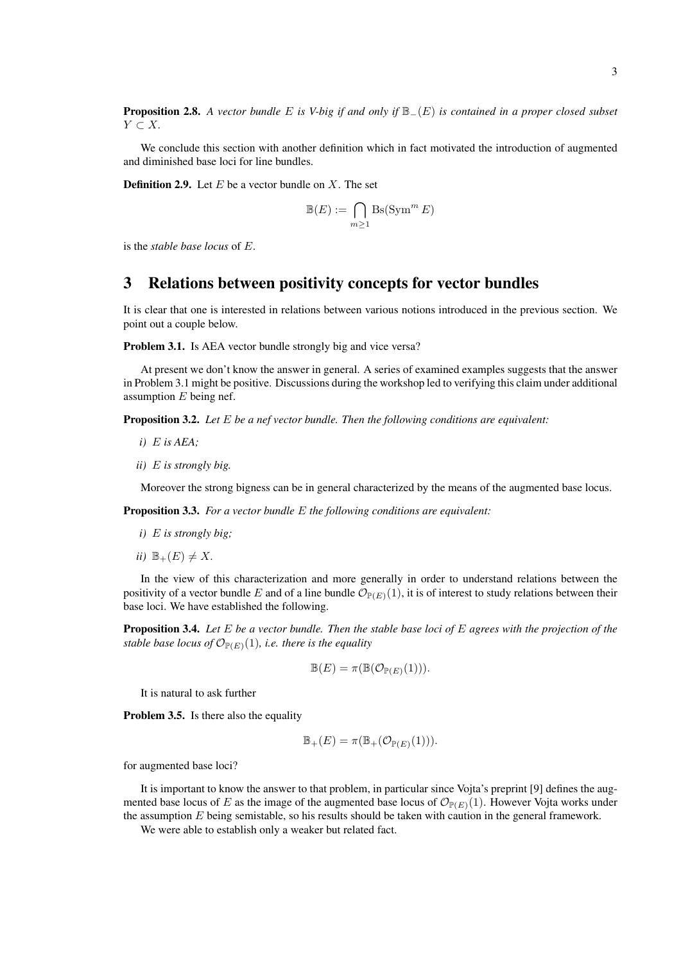Proposition 2.8. *A vector bundle* E *is V-big if and only if* B−(E) *is contained in a proper closed subset* Y ⊂ X*.*

We conclude this section with another definition which in fact motivated the introduction of augmented and diminished base loci for line bundles.

**Definition 2.9.** Let  $E$  be a vector bundle on  $X$ . The set

$$
\mathbb{B}(E) := \bigcap_{m \ge 1} \operatorname{Bs}(\operatorname{Sym}^m E)
$$

is the *stable base locus* of E.

# 3 Relations between positivity concepts for vector bundles

It is clear that one is interested in relations between various notions introduced in the previous section. We point out a couple below.

Problem 3.1. Is AEA vector bundle strongly big and vice versa?

At present we don't know the answer in general. A series of examined examples suggests that the answer in Problem 3.1 might be positive. Discussions during the workshop led to verifying this claim under additional assumption  $E$  being nef.

Proposition 3.2. *Let* E *be a nef vector bundle. Then the following conditions are equivalent:*

*i)* E *is AEA;*

*ii)* E *is strongly big.*

Moreover the strong bigness can be in general characterized by the means of the augmented base locus.

Proposition 3.3. *For a vector bundle* E *the following conditions are equivalent:*

- *i)* E *is strongly big;*
- *ii*)  $\mathbb{B}_{+}(E) \neq X$ .

In the view of this characterization and more generally in order to understand relations between the positivity of a vector bundle E and of a line bundle  $\mathcal{O}_{\mathbb{P}(E)}(1)$ , it is of interest to study relations between their base loci. We have established the following.

Proposition 3.4. *Let* E *be a vector bundle. Then the stable base loci of* E *agrees with the projection of the stable base locus of*  $\mathcal{O}_{\mathbb{P}(E)}(1)$ *, i.e. there is the equality* 

$$
\mathbb{B}(E) = \pi(\mathbb{B}(\mathcal{O}_{\mathbb{P}(E)}(1))).
$$

It is natural to ask further

Problem 3.5. Is there also the equality

$$
\mathbb{B}_+(E)=\pi(\mathbb{B}_+(\mathcal{O}_{\mathbb{P}(E)}(1))).
$$

for augmented base loci?

It is important to know the answer to that problem, in particular since Vojta's preprint [9] defines the augmented base locus of E as the image of the augmented base locus of  $\mathcal{O}_{\mathbb{P}(E)}(1)$ . However Vojta works under the assumption  $E$  being semistable, so his results should be taken with caution in the general framework.

We were able to establish only a weaker but related fact.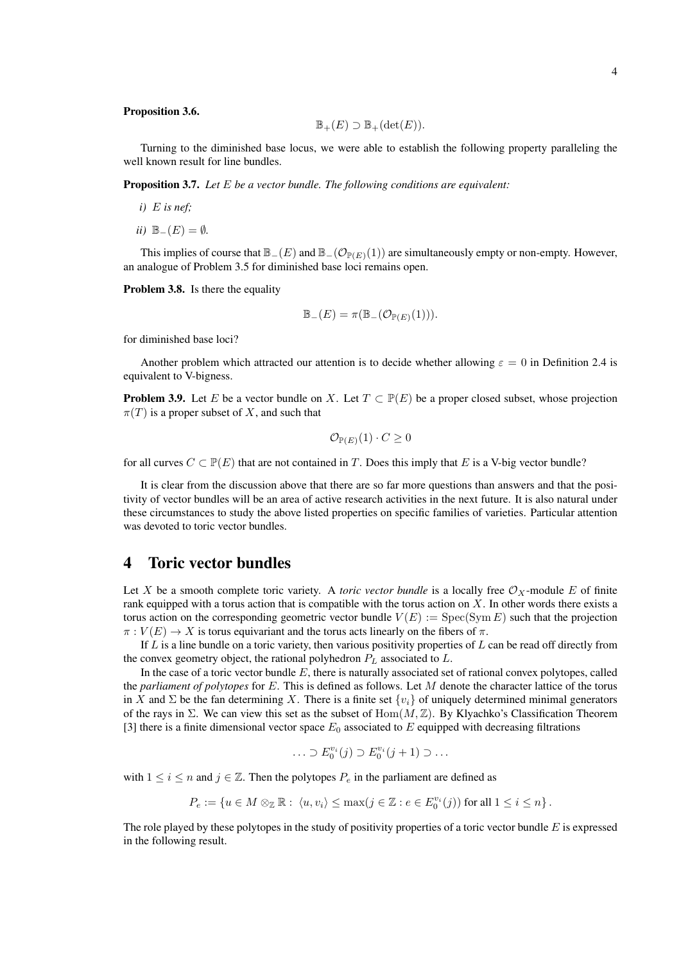#### Proposition 3.6.

$$
\mathbb{B}_+(E) \supset \mathbb{B}_+(\det(E)).
$$

Turning to the diminished base locus, we were able to establish the following property paralleling the well known result for line bundles.

Proposition 3.7. *Let* E *be a vector bundle. The following conditions are equivalent:*

- $i)$  E is nef;
- *ii*)  $\mathbb{B}_-(E) = ∅$ *.*

This implies of course that  $\mathbb{B}_-(E)$  and  $\mathbb{B}_-(\mathcal{O}_{\mathbb{P}(E)}(1))$  are simultaneously empty or non-empty. However, an analogue of Problem 3.5 for diminished base loci remains open.

Problem 3.8. Is there the equality

$$
\mathbb{B}_-(E)=\pi(\mathbb{B}_-(\mathcal{O}_{\mathbb{P}(E)}(1))).
$$

for diminished base loci?

Another problem which attracted our attention is to decide whether allowing  $\varepsilon = 0$  in Definition 2.4 is equivalent to V-bigness.

**Problem 3.9.** Let E be a vector bundle on X. Let  $T \subset \mathbb{P}(E)$  be a proper closed subset, whose projection  $\pi(T)$  is a proper subset of X, and such that

$$
\mathcal{O}_{\mathbb{P}(E)}(1)\cdot C\geq 0
$$

for all curves  $C \subset \mathbb{P}(E)$  that are not contained in T. Does this imply that E is a V-big vector bundle?

It is clear from the discussion above that there are so far more questions than answers and that the positivity of vector bundles will be an area of active research activities in the next future. It is also natural under these circumstances to study the above listed properties on specific families of varieties. Particular attention was devoted to toric vector bundles.

### 4 Toric vector bundles

Let X be a smooth complete toric variety. A *toric vector bundle* is a locally free  $\mathcal{O}_X$ -module E of finite rank equipped with a torus action that is compatible with the torus action on X. In other words there exists a torus action on the corresponding geometric vector bundle  $V(E) := \text{Spec}(\text{Sym } E)$  such that the projection  $\pi : V(E) \to X$  is torus equivariant and the torus acts linearly on the fibers of  $\pi$ .

If  $L$  is a line bundle on a toric variety, then various positivity properties of  $L$  can be read off directly from the convex geometry object, the rational polyhedron  $P_L$  associated to  $L$ .

In the case of a toric vector bundle  $E$ , there is naturally associated set of rational convex polytopes, called the *parliament of polytopes* for E. This is defined as follows. Let M denote the character lattice of the torus in X and  $\Sigma$  be the fan determining X. There is a finite set  $\{v_i\}$  of uniquely determined minimal generators of the rays in  $\Sigma$ . We can view this set as the subset of  $Hom(M, \mathbb{Z})$ . By Klyachko's Classification Theorem [3] there is a finite dimensional vector space  $E_0$  associated to E equipped with decreasing filtrations

$$
\ldots \supset E_0^{v_i}(j) \supset E_0^{v_i}(j+1) \supset \ldots
$$

with  $1 \le i \le n$  and  $j \in \mathbb{Z}$ . Then the polytopes  $P_e$  in the parliament are defined as

$$
P_e := \{ u \in M \otimes_{\mathbb{Z}} \mathbb{R} : \langle u, v_i \rangle \le \max(j \in \mathbb{Z} : e \in E_0^{v_i}(j)) \text{ for all } 1 \le i \le n \}.
$$

The role played by these polytopes in the study of positivity properties of a toric vector bundle  $E$  is expressed in the following result.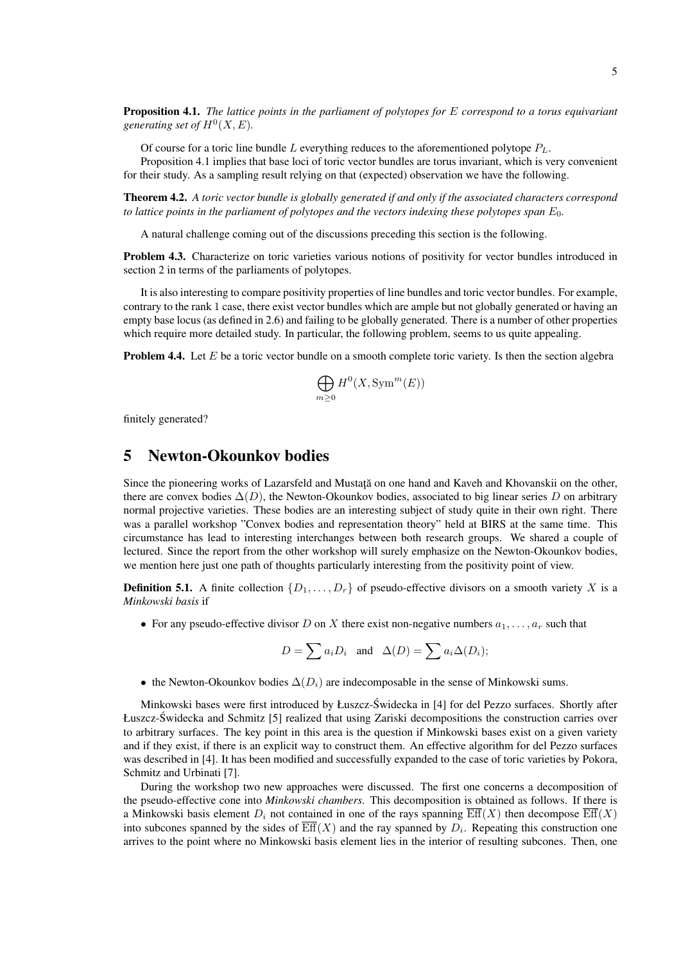Proposition 4.1. *The lattice points in the parliament of polytopes for* E *correspond to a torus equivariant* generating set of  $H^0(X, E)$ .

Of course for a toric line bundle L everything reduces to the aforementioned polytope  $P_L$ .

Proposition 4.1 implies that base loci of toric vector bundles are torus invariant, which is very convenient for their study. As a sampling result relying on that (expected) observation we have the following.

Theorem 4.2. *A toric vector bundle is globally generated if and only if the associated characters correspond to lattice points in the parliament of polytopes and the vectors indexing these polytopes span*  $E_0$ .

A natural challenge coming out of the discussions preceding this section is the following.

Problem 4.3. Characterize on toric varieties various notions of positivity for vector bundles introduced in section 2 in terms of the parliaments of polytopes.

It is also interesting to compare positivity properties of line bundles and toric vector bundles. For example, contrary to the rank 1 case, there exist vector bundles which are ample but not globally generated or having an empty base locus (as defined in 2.6) and failing to be globally generated. There is a number of other properties which require more detailed study. In particular, the following problem, seems to us quite appealing.

**Problem 4.4.** Let  $E$  be a toric vector bundle on a smooth complete toric variety. Is then the section algebra

$$
\bigoplus_{m\geq 0} H^0(X, \mathrm{Sym}^m(E))
$$

finitely generated?

### 5 Newton-Okounkov bodies

Since the pioneering works of Lazarsfeld and Mustata on one hand and Kaveh and Khovanskii on the other, there are convex bodies  $\Delta(D)$ , the Newton-Okounkov bodies, associated to big linear series D on arbitrary normal projective varieties. These bodies are an interesting subject of study quite in their own right. There was a parallel workshop "Convex bodies and representation theory" held at BIRS at the same time. This circumstance has lead to interesting interchanges between both research groups. We shared a couple of lectured. Since the report from the other workshop will surely emphasize on the Newton-Okounkov bodies, we mention here just one path of thoughts particularly interesting from the positivity point of view.

**Definition 5.1.** A finite collection  $\{D_1, \ldots, D_r\}$  of pseudo-effective divisors on a smooth variety X is a *Minkowski basis* if

• For any pseudo-effective divisor D on X there exist non-negative numbers  $a_1, \ldots, a_r$  such that

$$
D = \sum a_i D_i \quad \text{and} \quad \Delta(D) = \sum a_i \Delta(D_i);
$$

• the Newton-Okounkov bodies  $\Delta(D_i)$  are indecomposable in the sense of Minkowski sums.

Minkowski bases were first introduced by Łuszcz-Swidecka in [4] for del Pezzo surfaces. Shortly after ´ Łuszcz-Swidecka and Schmitz [5] realized that using Zariski decompositions the construction carries over ´ to arbitrary surfaces. The key point in this area is the question if Minkowski bases exist on a given variety and if they exist, if there is an explicit way to construct them. An effective algorithm for del Pezzo surfaces was described in [4]. It has been modified and successfully expanded to the case of toric varieties by Pokora, Schmitz and Urbinati [7].

During the workshop two new approaches were discussed. The first one concerns a decomposition of the pseudo-effective cone into *Minkowski chambers*. This decomposition is obtained as follows. If there is a Minkowski basis element  $D_i$  not contained in one of the rays spanning  $\text{Eff}(X)$  then decompose  $\text{Eff}(X)$ into subcones spanned by the sides of  $Eff(X)$  and the ray spanned by  $D_i$ . Repeating this construction one arrives to the point where no Minkowski basis element lies in the interior of resulting subcones. Then, one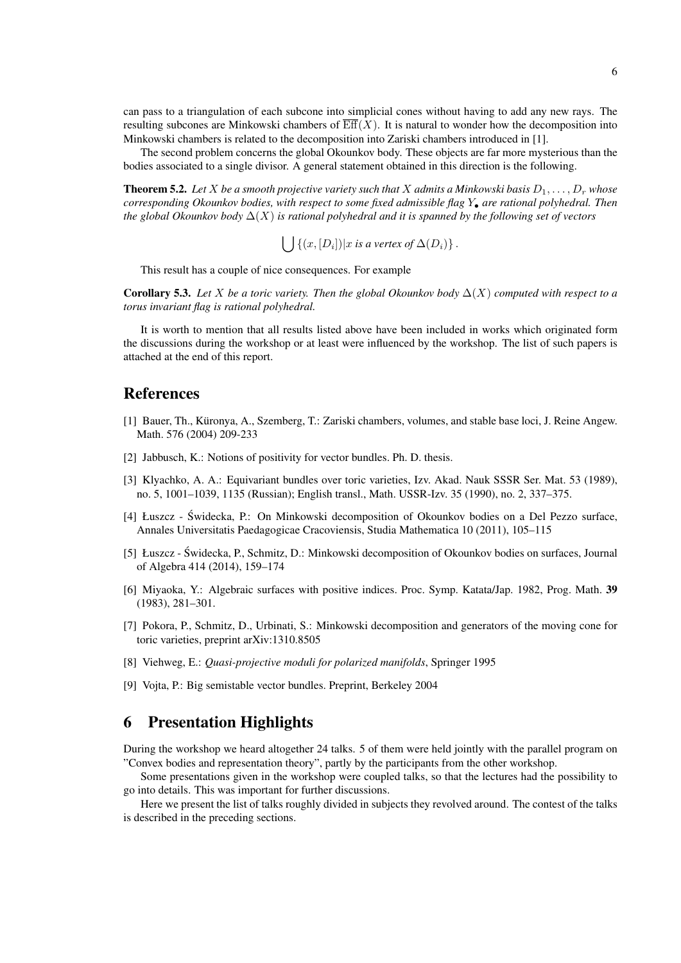can pass to a triangulation of each subcone into simplicial cones without having to add any new rays. The resulting subcones are Minkowski chambers of  $\overline{Eff}(X)$ . It is natural to wonder how the decomposition into Minkowski chambers is related to the decomposition into Zariski chambers introduced in [1].

The second problem concerns the global Okounkov body. These objects are far more mysterious than the bodies associated to a single divisor. A general statement obtained in this direction is the following.

**Theorem 5.2.** Let X be a smooth projective variety such that X admits a Minkowski basis  $D_1, \ldots, D_r$  whose *corresponding Okounkov bodies, with respect to some fixed admissible flag* Y• *are rational polyhedral. Then the global Okounkov body* ∆(X) *is rational polyhedral and it is spanned by the following set of vectors*

 $\int \int \{(x,[D_i]) | x \text{ is a vertex of } \Delta(D_i)\}\,.$ 

This result has a couple of nice consequences. For example

**Corollary 5.3.** Let X be a toric variety. Then the global Okounkov body  $\Delta(X)$  computed with respect to a *torus invariant flag is rational polyhedral.*

It is worth to mention that all results listed above have been included in works which originated form the discussions during the workshop or at least were influenced by the workshop. The list of such papers is attached at the end of this report.

# References

- [1] Bauer, Th., Kuronya, A., Szemberg, T.: Zariski chambers, volumes, and stable base loci, J. Reine Angew. ¨ Math. 576 (2004) 209-233
- [2] Jabbusch, K.: Notions of positivity for vector bundles. Ph. D. thesis.
- [3] Klyachko, A. A.: Equivariant bundles over toric varieties, Izv. Akad. Nauk SSSR Ser. Mat. 53 (1989), no. 5, 1001–1039, 1135 (Russian); English transl., Math. USSR-Izv. 35 (1990), no. 2, 337–375.
- [4] Łuszcz Swidecka, P.: On Minkowski decomposition of Okounkov bodies on a Del Pezzo surface, ´ Annales Universitatis Paedagogicae Cracoviensis, Studia Mathematica 10 (2011), 105–115
- [5] Łuszcz Swidecka, P., Schmitz, D.: Minkowski decomposition of Okounkov bodies on surfaces, Journal ´ of Algebra 414 (2014), 159–174
- [6] Miyaoka, Y.: Algebraic surfaces with positive indices. Proc. Symp. Katata/Jap. 1982, Prog. Math. 39 (1983), 281–301.
- [7] Pokora, P., Schmitz, D., Urbinati, S.: Minkowski decomposition and generators of the moving cone for toric varieties, preprint arXiv:1310.8505
- [8] Viehweg, E.: *Quasi-projective moduli for polarized manifolds*, Springer 1995
- [9] Vojta, P.: Big semistable vector bundles. Preprint, Berkeley 2004

# 6 Presentation Highlights

During the workshop we heard altogether 24 talks. 5 of them were held jointly with the parallel program on "Convex bodies and representation theory", partly by the participants from the other workshop.

Some presentations given in the workshop were coupled talks, so that the lectures had the possibility to go into details. This was important for further discussions.

Here we present the list of talks roughly divided in subjects they revolved around. The contest of the talks is described in the preceding sections.